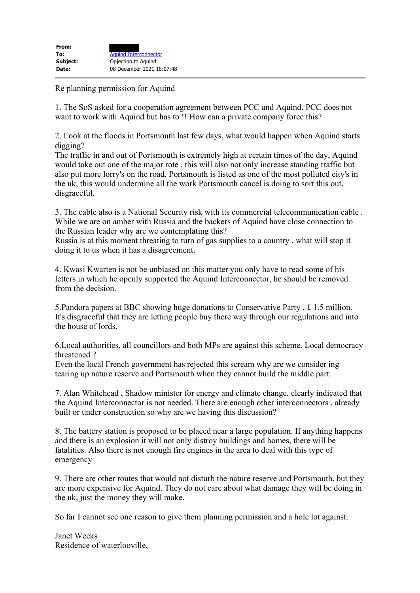| From:    |                              |
|----------|------------------------------|
| To:      | <b>Aquind Interconnector</b> |
| Subject: | Opjection to Aquind          |
| Date:    | 08 December 2021 18:07:48    |
|          |                              |

Re planning permission for Aquind

1. The SoS asked for a cooperation agreement between PCC and Aquind. PCC does not want to work with Aquind but has to !! How can a private company force this?

2. Look at the floods in Portsmouth last few days, what would happen when Aquind starts digging?

The traffic in and out of Portsmouth is extremely high at certain times of the day, Aquind would take out one of the major rote , this will also not only increase standing traffic but also put more lorry's on the road. Portsmouth is listed as one of the most polluted city's in the uk, this would undermine all the work Portsmouth cancel is doing to sort this out, disgraceful.

3. The cable also is a National Security risk with its commercial telecommunication cable . While we are on amber with Russia and the backers of Aquind have close connection to the Russian leader why are we contemplating this?

Russia is at this moment threating to turn of gas supplies to a country , what will stop it doing it to us when it has a disagreement.

4. Kwasi Kwarten is not be unbiased on this matter you only have to read some of his letters in which he openly supported the Aquind Interconnector, he should be removed from the decision.

5.Pandora papers at BBC showing huge donations to Conservative Party , £ 1.5 million. It's disgraceful that they are letting people buy there way through our regulations and into the house of lords.

6.Local authorities, all councillors and both MPs are against this scheme. Local democracy threatened ?

Even the local French government has rejected this scream why are we consider ing tearing up nature reserve and Portsmouth when they cannot build the middle part.

7. Alan Whitehead , Shadow minister for energy and climate change, clearly indicated that the Aquind Interconnector is not needed. There are enough other interconnectors , already built or under construction so why are we having this discussion?

8. The battery station is proposed to be placed near a large population. If anything happens and there is an explosion it will not only distroy buildings and homes, there will be fatalities. Also there is not enough fire engines in the area to deal with this type of emergency

9. There are other routes that would not disturb the nature reserve and Portsmouth, but they are more expensive for Aquind. They do not care about what damage they will be doing in the uk, just the money they will make.

So far I cannot see one reason to give them planning permission and a hole lot against.

Janet Weeks Residence of waterlooville,